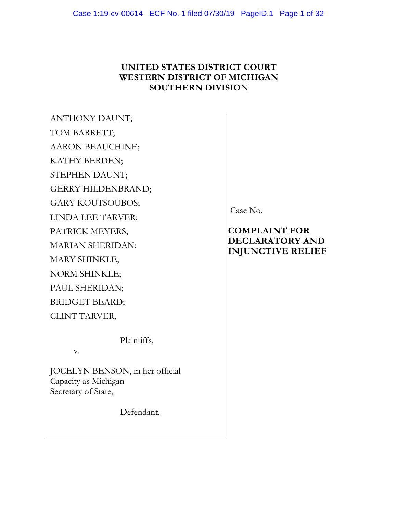# **UNITED STATES DISTRICT COURT WESTERN DISTRICT OF MICHIGAN SOUTHERN DIVISION**

ANTHONY DAUNT; TOM BARRETT; AARON BEAUCHINE; KATHY BERDEN; STEPHEN DAUNT; GERRY HILDENBRAND; GARY KOUTSOUBOS; LINDA LEE TARVER; PATRICK MEYERS; MARIAN SHERIDAN; MARY SHINKLE; NORM SHINKLE; PAUL SHERIDAN; BRIDGET BEARD; CLINT TARVER,

Plaintiffs,

v.

JOCELYN BENSON, in her official Capacity as Michigan Secretary of State,

Defendant.

Case No.

# **COMPLAINT FOR DECLARATORY AND INJUNCTIVE RELIEF**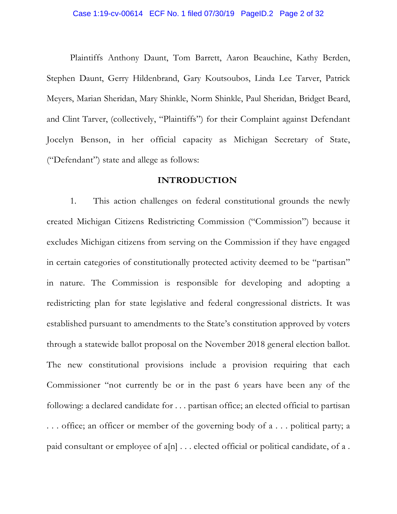Plaintiffs Anthony Daunt, Tom Barrett, Aaron Beauchine, Kathy Berden, Stephen Daunt, Gerry Hildenbrand, Gary Koutsoubos, Linda Lee Tarver, Patrick Meyers, Marian Sheridan, Mary Shinkle, Norm Shinkle, Paul Sheridan, Bridget Beard, and Clint Tarver, (collectively, "Plaintiffs") for their Complaint against Defendant Jocelyn Benson, in her official capacity as Michigan Secretary of State, ("Defendant") state and allege as follows:

### **INTRODUCTION**

1. This action challenges on federal constitutional grounds the newly created Michigan Citizens Redistricting Commission ("Commission") because it excludes Michigan citizens from serving on the Commission if they have engaged in certain categories of constitutionally protected activity deemed to be "partisan" in nature. The Commission is responsible for developing and adopting a redistricting plan for state legislative and federal congressional districts. It was established pursuant to amendments to the State's constitution approved by voters through a statewide ballot proposal on the November 2018 general election ballot. The new constitutional provisions include a provision requiring that each Commissioner "not currently be or in the past 6 years have been any of the following: a declared candidate for . . . partisan office; an elected official to partisan . . . office; an officer or member of the governing body of a . . . political party; a paid consultant or employee of  $a[n]$ ... elected official or political candidate, of a.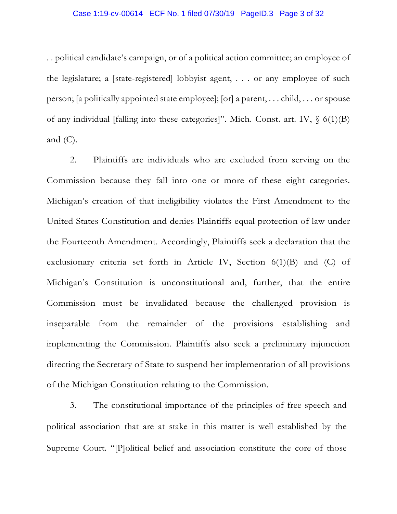### Case 1:19-cv-00614 ECF No. 1 filed 07/30/19 PageID.3 Page 3 of 32

. . political candidate's campaign, or of a political action committee; an employee of the legislature; a [state-registered] lobbyist agent, . . . or any employee of such person; [a politically appointed state employee]; [or] a parent, . . . child, . . . or spouse of any individual [falling into these categories]". Mich. Const. art. IV,  $\S$  6(1)(B) and  $(C)$ .

2. Plaintiffs are individuals who are excluded from serving on the Commission because they fall into one or more of these eight categories. Michigan's creation of that ineligibility violates the First Amendment to the United States Constitution and denies Plaintiffs equal protection of law under the Fourteenth Amendment. Accordingly, Plaintiffs seek a declaration that the exclusionary criteria set forth in Article IV, Section 6(1)(B) and (C) of Michigan's Constitution is unconstitutional and, further, that the entire Commission must be invalidated because the challenged provision is inseparable from the remainder of the provisions establishing and implementing the Commission. Plaintiffs also seek a preliminary injunction directing the Secretary of State to suspend her implementation of all provisions of the Michigan Constitution relating to the Commission.

3. The constitutional importance of the principles of free speech and political association that are at stake in this matter is well established by the Supreme Court. "[P]olitical belief and association constitute the core of those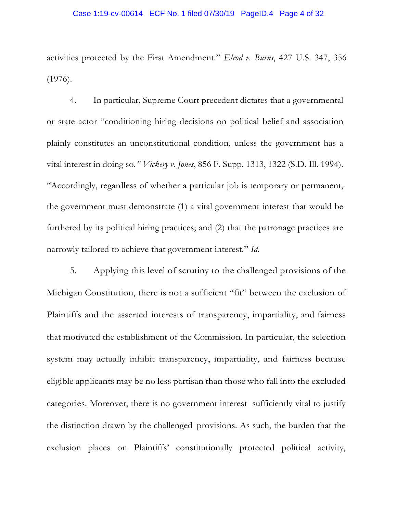### Case 1:19-cv-00614 ECF No. 1 filed 07/30/19 PageID.4 Page 4 of 32

activities protected by the First Amendment." *Elrod v. Burns*, 427 U.S. 347, 356 (1976).

4. In particular, Supreme Court precedent dictates that a governmental or state actor "conditioning hiring decisions on political belief and association plainly constitutes an unconstitutional condition, unless the government has a vital interest in doing so*." Vickery v. Jones*, 856 F. Supp. 1313, 1322 (S.D. Ill. 1994). "Accordingly, regardless of whether a particular job is temporary or permanent, the government must demonstrate (1) a vital government interest that would be furthered by its political hiring practices; and (2) that the patronage practices are narrowly tailored to achieve that government interest." *Id*.

5. Applying this level of scrutiny to the challenged provisions of the Michigan Constitution, there is not a sufficient "fit" between the exclusion of Plaintiffs and the asserted interests of transparency, impartiality, and fairness that motivated the establishment of the Commission. In particular, the selection system may actually inhibit transparency, impartiality, and fairness because eligible applicants may be no less partisan than those who fall into the excluded categories. Moreover, there is no government interest sufficiently vital to justify the distinction drawn by the challenged provisions. As such, the burden that the exclusion places on Plaintiffs' constitutionally protected political activity,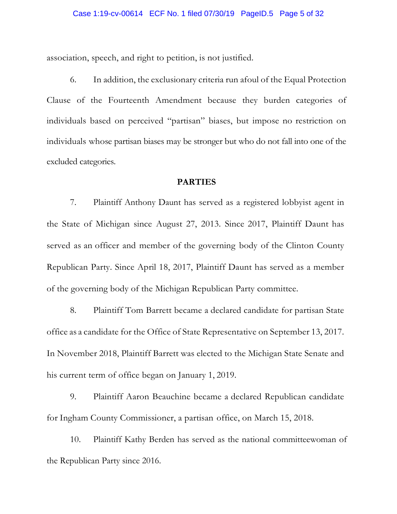association, speech, and right to petition, is not justified.

6. In addition, the exclusionary criteria run afoul of the Equal Protection Clause of the Fourteenth Amendment because they burden categories of individuals based on perceived "partisan" biases, but impose no restriction on individuals whose partisan biases may be stronger but who do not fall into one of the excluded categories.

### **PARTIES**

7. Plaintiff Anthony Daunt has served as a registered lobbyist agent in the State of Michigan since August 27, 2013. Since 2017, Plaintiff Daunt has served as an officer and member of the governing body of the Clinton County Republican Party. Since April 18, 2017, Plaintiff Daunt has served as a member of the governing body of the Michigan Republican Party committee.

8. Plaintiff Tom Barrett became a declared candidate for partisan State office as a candidate for the Office of State Representative on September 13, 2017. In November 2018, Plaintiff Barrett was elected to the Michigan State Senate and his current term of office began on January 1, 2019.

9. Plaintiff Aaron Beauchine became a declared Republican candidate for Ingham County Commissioner, a partisan office, on March 15, 2018.

10. Plaintiff Kathy Berden has served as the national committeewoman of the Republican Party since 2016.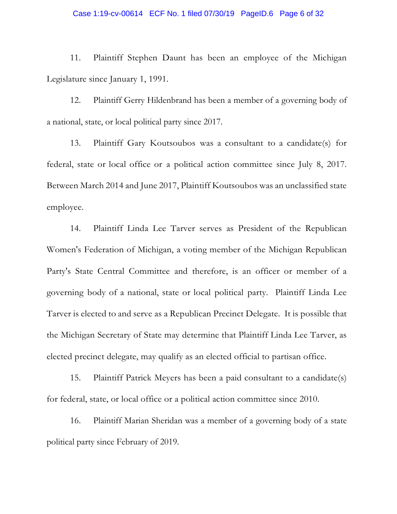### Case 1:19-cv-00614 ECF No. 1 filed 07/30/19 PageID.6 Page 6 of 32

11. Plaintiff Stephen Daunt has been an employee of the Michigan Legislature since January 1, 1991.

12. Plaintiff Gerry Hildenbrand has been a member of a governing body of a national, state, or local political party since 2017.

13. Plaintiff Gary Koutsoubos was a consultant to a candidate(s) for federal, state or local office or a political action committee since July 8, 2017. Between March 2014 and June 2017, Plaintiff Koutsoubos was an unclassified state employee.

14. Plaintiff Linda Lee Tarver serves as President of the Republican Women's Federation of Michigan, a voting member of the Michigan Republican Party's State Central Committee and therefore, is an officer or member of a governing body of a national, state or local political party. Plaintiff Linda Lee Tarver is elected to and serve as a Republican Precinct Delegate. It is possible that the Michigan Secretary of State may determine that Plaintiff Linda Lee Tarver, as elected precinct delegate, may qualify as an elected official to partisan office.

15. Plaintiff Patrick Meyers has been a paid consultant to a candidate(s) for federal, state, or local office or a political action committee since 2010.

16. Plaintiff Marian Sheridan was a member of a governing body of a state political party since February of 2019.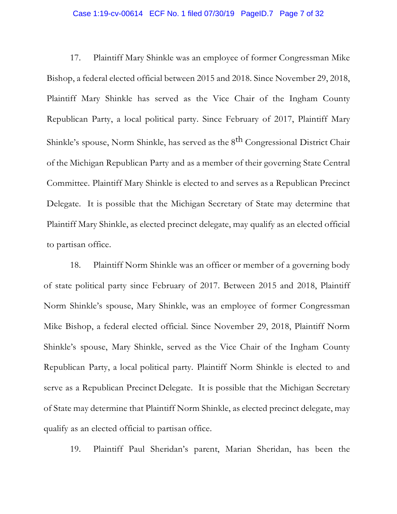### Case 1:19-cv-00614 ECF No. 1 filed 07/30/19 PageID.7 Page 7 of 32

17. Plaintiff Mary Shinkle was an employee of former Congressman Mike Bishop, a federal elected official between 2015 and 2018. Since November 29, 2018, Plaintiff Mary Shinkle has served as the Vice Chair of the Ingham County Republican Party, a local political party. Since February of 2017, Plaintiff Mary Shinkle's spouse, Norm Shinkle, has served as the 8<sup>th</sup> Congressional District Chair of the Michigan Republican Party and as a member of their governing State Central Committee. Plaintiff Mary Shinkle is elected to and serves as a Republican Precinct Delegate. It is possible that the Michigan Secretary of State may determine that Plaintiff Mary Shinkle, as elected precinct delegate, may qualify as an elected official to partisan office.

18. Plaintiff Norm Shinkle was an officer or member of a governing body of state political party since February of 2017. Between 2015 and 2018, Plaintiff Norm Shinkle's spouse, Mary Shinkle, was an employee of former Congressman Mike Bishop, a federal elected official. Since November 29, 2018, Plaintiff Norm Shinkle's spouse, Mary Shinkle, served as the Vice Chair of the Ingham County Republican Party, a local political party. Plaintiff Norm Shinkle is elected to and serve as a Republican Precinct Delegate. It is possible that the Michigan Secretary of State may determine that Plaintiff Norm Shinkle, as elected precinct delegate, may qualify as an elected official to partisan office.

19. Plaintiff Paul Sheridan's parent, Marian Sheridan, has been the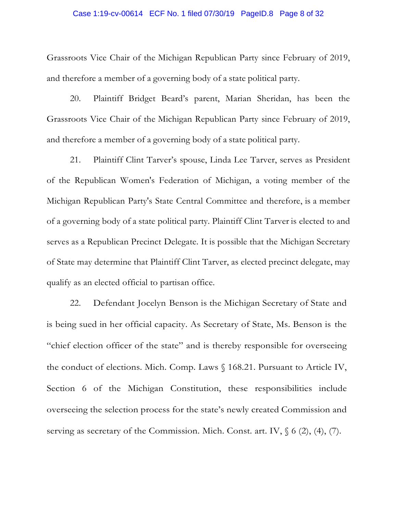### Case 1:19-cv-00614 ECF No. 1 filed 07/30/19 PageID.8 Page 8 of 32

Grassroots Vice Chair of the Michigan Republican Party since February of 2019, and therefore a member of a governing body of a state political party.

20. Plaintiff Bridget Beard's parent, Marian Sheridan, has been the Grassroots Vice Chair of the Michigan Republican Party since February of 2019, and therefore a member of a governing body of a state political party.

21. Plaintiff Clint Tarver's spouse, Linda Lee Tarver, serves as President of the Republican Women's Federation of Michigan, a voting member of the Michigan Republican Party's State Central Committee and therefore, is a member of a governing body of a state political party. Plaintiff Clint Tarver is elected to and serves as a Republican Precinct Delegate. It is possible that the Michigan Secretary of State may determine that Plaintiff Clint Tarver, as elected precinct delegate, may qualify as an elected official to partisan office.

22. Defendant Jocelyn Benson is the Michigan Secretary of State and is being sued in her official capacity. As Secretary of State, Ms. Benson is the "chief election officer of the state" and is thereby responsible for overseeing the conduct of elections. Mich. Comp. Laws § 168.21. Pursuant to Article IV, Section 6 of the Michigan Constitution, these responsibilities include overseeing the selection process for the state's newly created Commission and serving as secretary of the Commission. Mich. Const. art. IV,  $\S$  6 (2), (4), (7).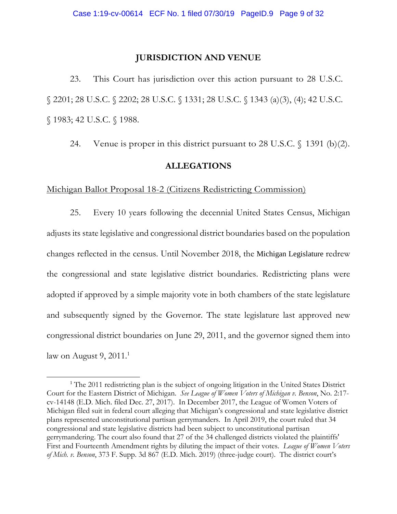## **JURISDICTION AND VENUE**

23. This Court has jurisdiction over this action pursuant to 28 U.S.C. § 2201; 28 U.S.C. § 2202; 28 U.S.C. § 1331; 28 U.S.C. § 1343 (a)(3), (4); 42 U.S.C. § 1983; 42 U.S.C. § 1988.

24. Venue is proper in this district pursuant to 28 U.S.C. § 1391 (b)(2).

# **ALLEGATIONS**

Michigan Ballot Proposal 18-2 (Citizens Redistricting Commission)

25. Every 10 years following the decennial United States Census, Michigan adjusts its state legislative and congressional district boundaries based on the population changes reflected in the census. Until November 2018, the Michigan Legislature redrew the congressional and state legislative district boundaries. Redistricting plans were adopted if approved by a simple majority vote in both chambers of the state legislature and subsequently signed by the Governor. The state legislature last approved new congressional district boundaries on June 29, 2011, and the governor signed them into law on August 9,  $2011<sup>1</sup>$ 

<sup>&</sup>lt;sup>1</sup> The 2011 redistricting plan is the subject of ongoing litigation in the United States District Court for the Eastern District of Michigan. *See League of Women Voters of Michigan v. Benson*, No. 2:17 cv-14148 (E.D. Mich. filed Dec. 27, 2017). In December 2017, the League of Women Voters of Michigan filed suit in federal court alleging that Michigan's congressional and state legislative district plans represented unconstitutional partisan gerrymanders. In April 2019, the court ruled that 34 congressional and state legislative districts had been subject to unconstitutional partisan gerrymandering. The court also found that 27 of the 34 challenged districts violated the plaintiffs' First and Fourteenth Amendment rights by diluting the impact of their votes. *League of Women Voters of Mich. v. Benson*, 373 F. Supp. 3d 867 (E.D. Mich. 2019) (three-judge court). The district court's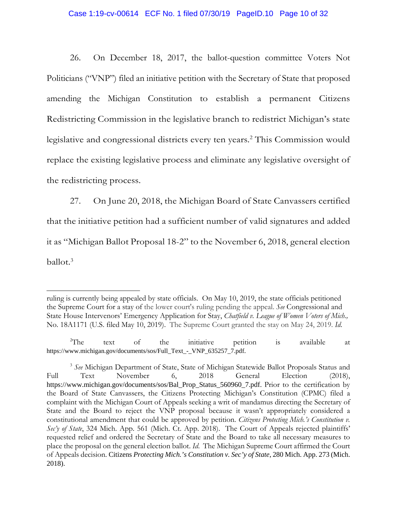### Case 1:19-cv-00614 ECF No. 1 filed 07/30/19 PageID.10 Page 10 of 32

26. On December 18, 2017, the ballot-question committee Voters Not Politicians ("VNP") filed an initiative petition with the Secretary of State that proposed amending the Michigan Constitution to establish a permanent Citizens Redistricting Commission in the legislative branch to redistrict Michigan's state legislative and congressional districts every ten years.<sup>2</sup> This Commission would replace the existing legislative process and eliminate any legislative oversight of the redistricting process.

27. On June 20, 2018, the Michigan Board of State Canvassers certified that the initiative petition had a sufficient number of valid signatures and added it as "Michigan Ballot Proposal 18-2" to the November 6, 2018, general election ballot.<sup>3</sup>

ruling is currently being appealed by state officials. On May 10, 2019, the state officials petitioned the Supreme Court for a stay of the lower court's ruling pending the appeal. *See* Congressional and State House Intervenors' Emergency Application for Stay, *Chatfield v. League of Women Voters of Mich.,* No. 18A1171 (U.S. filed May 10, 2019). The Supreme Court granted the stay on May 24, 2019. *Id*.

 $2^2$ The text of the initiative petition is available at https://www.michigan.gov/documents/sos/Full\_Text\_-\_VNP\_635257\_7.pdf.

<sup>3</sup> *See* Michigan Department of State, State of Michigan Statewide Ballot Proposals Status and Full Text November 6, 2018 General Election (2018), https://www.michigan.gov/documents/sos/Bal\_Prop\_Status\_560960\_7.pdf. Prior to the certification by the Board of State Canvassers, the Citizens Protecting Michigan's Constitution (CPMC) filed a complaint with the Michigan Court of Appeals seeking a writ of mandamus directing the Secretary of State and the Board to reject the VNP proposal because it wasn't appropriately considered a constitutional amendment that could be approved by petition. *Citizens Protecting Mich.'s Constitution v. Sec'y of State*, 324 Mich. App. 561 (Mich. Ct. App. 2018). The Court of Appeals rejected plaintiffs' requested relief and ordered the Secretary of State and the Board to take all necessary measures to place the proposal on the general election ballot. *Id*. The Michigan Supreme Court affirmed the Court of Appeals decision. Citizens *Protecting Mich.'s Constitution v. Sec'y of State*, 280 Mich. App. 273 (Mich. 2018).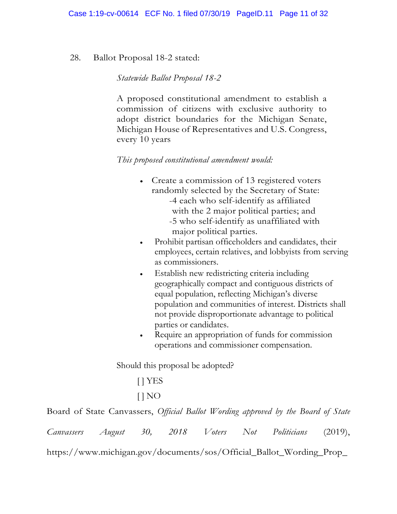# 28. Ballot Proposal 18-2 stated:

*Statewide Ballot Proposal 18-2* 

A proposed constitutional amendment to establish a commission of citizens with exclusive authority to adopt district boundaries for the Michigan Senate, Michigan House of Representatives and U.S. Congress, every 10 years

# *This proposed constitutional amendment would:*

- Create a commission of 13 registered voters randomly selected by the Secretary of State: -4 each who self-identify as affiliated with the 2 major political parties; and -5 who self-identify as unaffiliated with major political parties.
- Prohibit partisan officeholders and candidates, their employees, certain relatives, and lobbyists from serving as commissioners.
- Establish new redistricting criteria including geographically compact and contiguous districts of equal population, reflecting Michigan's diverse population and communities of interest. Districts shall not provide disproportionate advantage to political parties or candidates.
- Require an appropriation of funds for commission operations and commissioner compensation.

Should this proposal be adopted?

[ ] YES

 $[$   $]$  NO

Board of State Canvassers, *Official Ballot Wording approved by the Board of State* 

| <i>Canvassers</i> | August |  | 2018 | <i>V</i> oters | Not | Politicians | (2019), |
|-------------------|--------|--|------|----------------|-----|-------------|---------|
|-------------------|--------|--|------|----------------|-----|-------------|---------|

https://www.michigan.gov/documents/sos/Official\_Ballot\_Wording\_Prop\_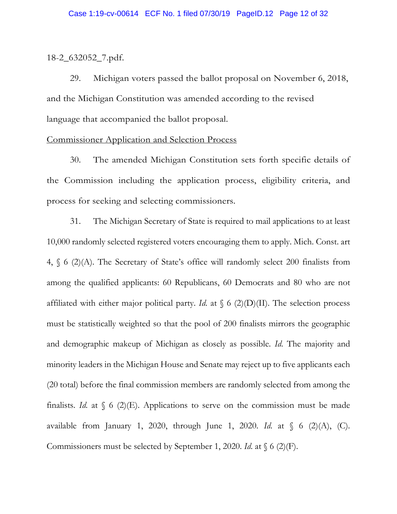### 18-2\_632052\_7.pdf.

29. Michigan voters passed the ballot proposal on November 6, 2018, and the Michigan Constitution was amended according to the revised language that accompanied the ballot proposal.

### Commissioner Application and Selection Process

30. The amended Michigan Constitution sets forth specific details of the Commission including the application process, eligibility criteria, and process for seeking and selecting commissioners.

31. The Michigan Secretary of State is required to mail applications to at least 10,000 randomly selected registered voters encouraging them to apply. Mich. Const. art 4, § 6 (2)(A). The Secretary of State's office will randomly select 200 finalists from among the qualified applicants: 60 Republicans, 60 Democrats and 80 who are not affiliated with either major political party. *Id.* at  $\int_0^{\infty} 6 \cdot (2)(D)(II)$ . The selection process must be statistically weighted so that the pool of 200 finalists mirrors the geographic and demographic makeup of Michigan as closely as possible. *Id*. The majority and minority leaders in the Michigan House and Senate may reject up to five applicants each (20 total) before the final commission members are randomly selected from among the finalists. *Id.* at  $\int$  6 (2)(E). Applications to serve on the commission must be made available from January 1, 2020, through June 1, 2020. *Id*. at § 6 (2)(A), (C). Commissioners must be selected by September 1, 2020. *Id*. at § 6 (2)(F).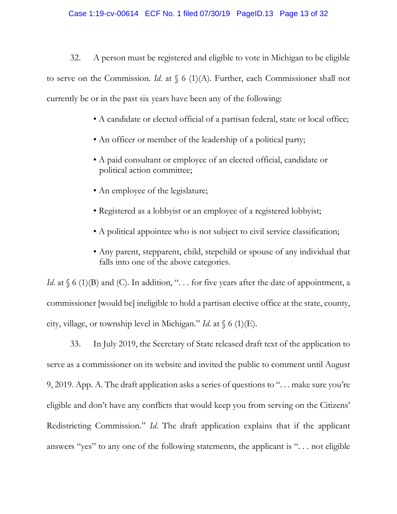32. A person must be registered and eligible to vote in Michigan to be eligible to serve on the Commission. *Id*. at § 6 (1)(A). Further, each Commissioner shall not currently be or in the past six years have been any of the following:

- A candidate or elected official of a partisan federal, state or local office;
- An officer or member of the leadership of a political party;
- A paid consultant or employee of an elected official, candidate or political action committee;
- An employee of the legislature;
- Registered as a lobbyist or an employee of a registered lobbyist;
- A political appointee who is not subject to civil service classification;
- Any parent, stepparent, child, stepchild or spouse of any individual that falls into one of the above categories.

*Id.* at  $\{6 \text{ (1) (B)} \}$  and (C). In addition, "... for five years after the date of appointment, a commissioner [would be] ineligible to hold a partisan elective office at the state, county, city, village, or township level in Michigan." *Id*. at § 6 (1)(E).

33. In July 2019, the Secretary of State released draft text of the application to serve as a commissioner on its website and invited the public to comment until August 9, 2019. App. A. The draft application asks a series of questions to ". . . make sure you're eligible and don't have any conflicts that would keep you from serving on the Citizens' Redistricting Commission." *Id*. The draft application explains that if the applicant answers "yes" to any one of the following statements, the applicant is ". . . not eligible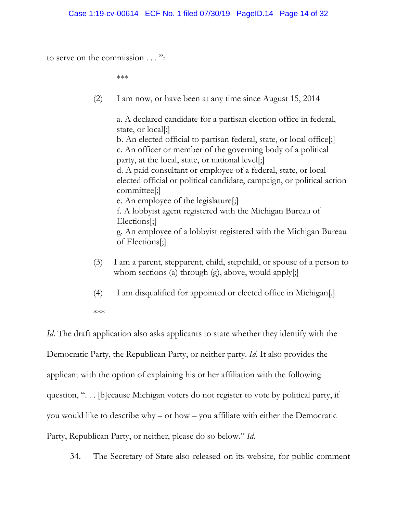to serve on the commission . . . ":

\*\*\*

(2) I am now, or have been at any time since August 15, 2014

a. A declared candidate for a partisan election office in federal, state, or local[;] b. An elected official to partisan federal, state, or local office[;] c. An officer or member of the governing body of a political party, at the local, state, or national level[;] d. A paid consultant or employee of a federal, state, or local elected official or political candidate, campaign, or political action committee[;] e. An employee of the legislature[;] f. A lobbyist agent registered with the Michigan Bureau of Elections[;] g. An employee of a lobbyist registered with the Michigan Bureau of Elections[;]

- (3) I am a parent, stepparent, child, stepchild, or spouse of a person to whom sections (a) through  $(g)$ , above, would apply $[$ ;
- (4) I am disqualified for appointed or elected office in Michigan[.]
- \*\*\*

*Id*. The draft application also asks applicants to state whether they identify with the Democratic Party, the Republican Party, or neither party. *Id*. It also provides the applicant with the option of explaining his or her affiliation with the following question, ". . . [b]ecause Michigan voters do not register to vote by political party, if you would like to describe why – or how – you affiliate with either the Democratic Party, Republican Party, or neither, please do so below." *Id*.

34. The Secretary of State also released on its website, for public comment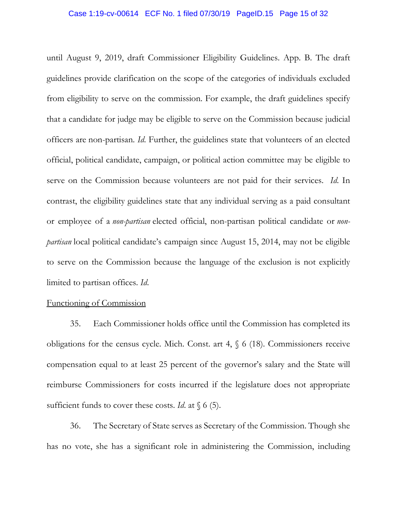until August 9, 2019, draft Commissioner Eligibility Guidelines. App. B. The draft guidelines provide clarification on the scope of the categories of individuals excluded from eligibility to serve on the commission. For example, the draft guidelines specify that a candidate for judge may be eligible to serve on the Commission because judicial officers are non-partisan. *Id*. Further, the guidelines state that volunteers of an elected official, political candidate, campaign, or political action committee may be eligible to serve on the Commission because volunteers are not paid for their services. *Id*. In contrast, the eligibility guidelines state that any individual serving as a paid consultant or employee of a *non-partisan* elected official, non-partisan political candidate or *nonpartisan* local political candidate's campaign since August 15, 2014, may not be eligible to serve on the Commission because the language of the exclusion is not explicitly limited to partisan offices. *Id*.

### Functioning of Commission

35. Each Commissioner holds office until the Commission has completed its obligations for the census cycle. Mich. Const. art 4, § 6 (18). Commissioners receive compensation equal to at least 25 percent of the governor's salary and the State will reimburse Commissioners for costs incurred if the legislature does not appropriate sufficient funds to cover these costs. *Id*. at § 6 (5).

36. The Secretary of State serves as Secretary of the Commission. Though she has no vote, she has a significant role in administering the Commission, including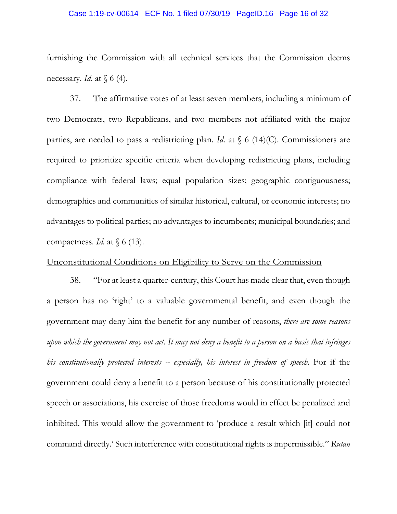### Case 1:19-cv-00614 ECF No. 1 filed 07/30/19 PageID.16 Page 16 of 32

furnishing the Commission with all technical services that the Commission deems necessary. *Id*. at § 6 (4).

37. The affirmative votes of at least seven members, including a minimum of two Democrats, two Republicans, and two members not affiliated with the major parties, are needed to pass a redistricting plan. *Id*. at § 6 (14)(C). Commissioners are required to prioritize specific criteria when developing redistricting plans, including compliance with federal laws; equal population sizes; geographic contiguousness; demographics and communities of similar historical, cultural, or economic interests; no advantages to political parties; no advantages to incumbents; municipal boundaries; and compactness. *Id*. at § 6 (13).

# Unconstitutional Conditions on Eligibility to Serve on the Commission

38. "For at least a quarter-century, this Court has made clear that, even though a person has no 'right' to a valuable governmental benefit, and even though the government may deny him the benefit for any number of reasons, *there are some reasons upon which the government may not act. It may not deny a benefit to a person on a basis that infringes his constitutionally protected interests -- especially, his interest in freedom of speech*. For if the government could deny a benefit to a person because of his constitutionally protected speech or associations, his exercise of those freedoms would in effect be penalized and inhibited. This would allow the government to 'produce a result which [it] could not command directly.' Such interference with constitutional rights is impermissible." *Rutan*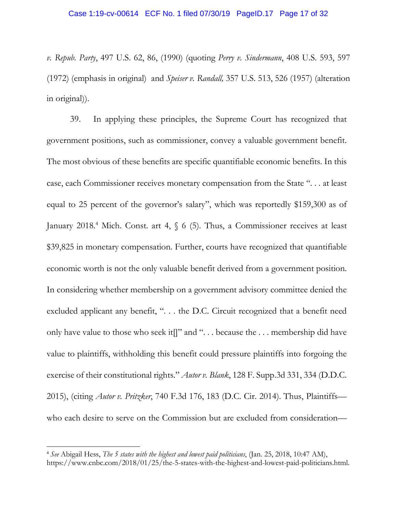*v. Repub. Party*, 497 U.S. 62, 86, (1990) (quoting *Perry v. Sindermann*, 408 U.S. 593, 597 (1972) (emphasis in original) and *Speiser v. Randall,* 357 U.S. 513, 526 (1957) (alteration in original)).

39. In applying these principles, the Supreme Court has recognized that government positions, such as commissioner, convey a valuable government benefit. The most obvious of these benefits are specific quantifiable economic benefits. In this case, each Commissioner receives monetary compensation from the State ". . . at least equal to 25 percent of the governor's salary", which was reportedly \$159,300 as of January 2018.<sup>4</sup> Mich. Const. art 4, § 6 (5). Thus, a Commissioner receives at least \$39,825 in monetary compensation. Further, courts have recognized that quantifiable economic worth is not the only valuable benefit derived from a government position. In considering whether membership on a government advisory committee denied the excluded applicant any benefit, ". . . the D.C. Circuit recognized that a benefit need only have value to those who seek it[]" and ". . . because the . . . membership did have value to plaintiffs, withholding this benefit could pressure plaintiffs into forgoing the exercise of their constitutional rights." *Autor v. Blank*, 128 F. Supp.3d 331, 334 (D.D.C. 2015), (citing *Autor v. Pritzker*, 740 F.3d 176, 183 (D.C. Cir. 2014). Thus, Plaintiffs who each desire to serve on the Commission but are excluded from consideration—

<sup>4</sup> *See* Abigail Hess, *The 5 states with the highest and lowest paid politicians*, (Jan. 25, 2018, 10:47 AM), https://www.cnbc.com/2018/01/25/the-5-states-with-the-highest-and-lowest-paid-politicians.html.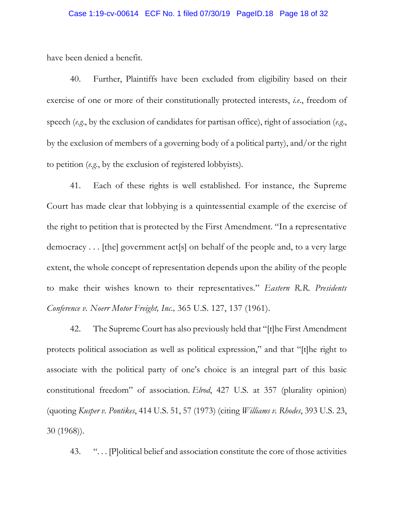have been denied a benefit.

40. Further, Plaintiffs have been excluded from eligibility based on their exercise of one or more of their constitutionally protected interests, *i.e*., freedom of speech (*e.g*., by the exclusion of candidates for partisan office), right of association (*e.g*., by the exclusion of members of a governing body of a political party), and/or the right to petition (*e.g*., by the exclusion of registered lobbyists).

41. Each of these rights is well established. For instance, the Supreme Court has made clear that lobbying is a quintessential example of the exercise of the right to petition that is protected by the First Amendment. "In a representative democracy . . . [the] government act[s] on behalf of the people and, to a very large extent, the whole concept of representation depends upon the ability of the people to make their wishes known to their representatives." *Eastern R.R. Presidents Conference v. Noerr Motor Freight, Inc.,* 365 U.S. 127, 137 (1961).

42. The Supreme Court has also previously held that "[t]he First Amendment protects political association as well as political expression," and that "[t]he right to associate with the political party of one's choice is an integral part of this basic constitutional freedom" of association. *Elrod*, 427 U.S. at 357 (plurality opinion) (quoting *Kusper v. Pontikes*, 414 U.S. 51, 57 (1973) (citing *Williams v. Rhodes*, 393 U.S. 23, 30 (1968)).

43. "... Political belief and association constitute the core of those activities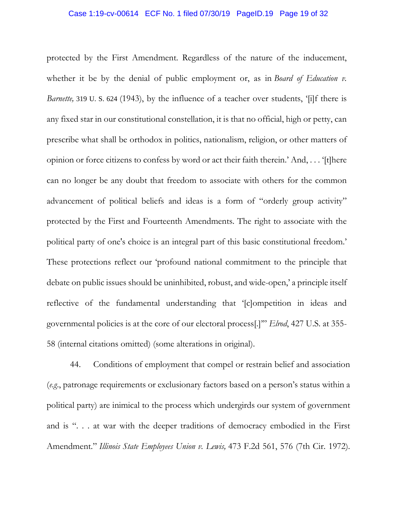### Case 1:19-cv-00614 ECF No. 1 filed 07/30/19 PageID.19 Page 19 of 32

protected by the First Amendment. Regardless of the nature of the inducement, whether it be by the denial of public employment or, as in *Board of Education v*. *Barnette*, 319 U. S. 624 (1943), by the influence of a teacher over students, '[i]f there is any fixed star in our constitutional constellation, it is that no official, high or petty, can prescribe what shall be orthodox in politics, nationalism, religion, or other matters of opinion or force citizens to confess by word or act their faith therein.' And, . . . '[t]here can no longer be any doubt that freedom to associate with others for the common advancement of political beliefs and ideas is a form of "orderly group activity" protected by the First and Fourteenth Amendments. The right to associate with the political party of one's choice is an integral part of this basic constitutional freedom.' These protections reflect our 'profound national commitment to the principle that debate on public issues should be uninhibited, robust, and wide-open,' a principle itself reflective of the fundamental understanding that '[c]ompetition in ideas and governmental policies is at the core of our electoral process[.]'" *Elrod*, 427 U.S. at 355- 58 (internal citations omitted) (some alterations in original).

44. Conditions of employment that compel or restrain belief and association (*e.g*., patronage requirements or exclusionary factors based on a person's status within a political party) are inimical to the process which undergirds our system of government and is ". . . at war with the deeper traditions of democracy embodied in the First Amendment." *Illinois State Employees Union v. Lewis,* 473 F.2d 561, 576 (7th Cir. 1972).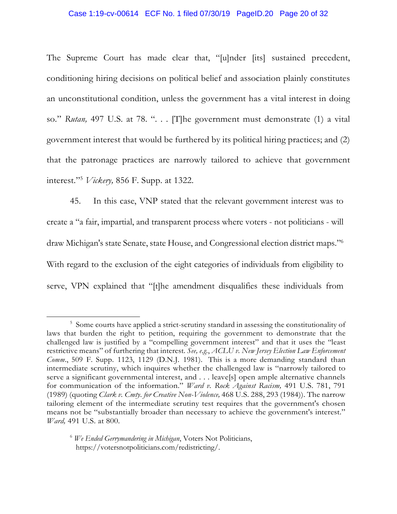#### Case 1:19-cv-00614 ECF No. 1 filed 07/30/19 PageID.20 Page 20 of 32

The Supreme Court has made clear that, "[u]nder [its] sustained precedent, conditioning hiring decisions on political belief and association plainly constitutes an unconstitutional condition, unless the government has a vital interest in doing so." Rutan, 497 U.S. at 78. ". . . [T]he government must demonstrate (1) a vital government interest that would be furthered by its political hiring practices; and (2) that the patronage practices are narrowly tailored to achieve that government interest."<sup>5</sup> *Vickery,* 856 F. Supp. at 1322.

45. In this case, VNP stated that the relevant government interest was to create a "a fair, impartial, and transparent process where voters - not politicians - will draw Michigan's state Senate, state House, and Congressional election district maps."<sup>6</sup> With regard to the exclusion of the eight categories of individuals from eligibility to serve, VPN explained that "[t]he amendment disqualifies these individuals from

<sup>&</sup>lt;sup>5</sup> Some courts have applied a strict-scrutiny standard in assessing the constitutionality of laws that burden the right to petition, requiring the government to demonstrate that the challenged law is justified by a "compelling government interest" and that it uses the "least restrictive means" of furthering that interest. *See, e.g.*, *ACLU v. New Jersey Election Law Enforcement Comm*., 509 F. Supp. 1123, 1129 (D.N.J. 1981). This is a more demanding standard than intermediate scrutiny, which inquires whether the challenged law is "narrowly tailored to serve a significant governmental interest, and . . . leave[s] open ample alternative channels for communication of the information." *Ward v. Rock Against Racism,* 491 U.S. 781, 791 (1989) (quoting *Clark v. Cmty. for Creative Non-Violence,* 468 U.S. 288, 293 (1984)). The narrow tailoring element of the intermediate scrutiny test requires that the government's chosen means not be "substantially broader than necessary to achieve the government's interest." *Ward,* 491 U.S. at 800.

<sup>6</sup> *We Ended Gerrymandering in Michigan*, Voters Not Politicians, https://votersnotpoliticians.com/redistricting/.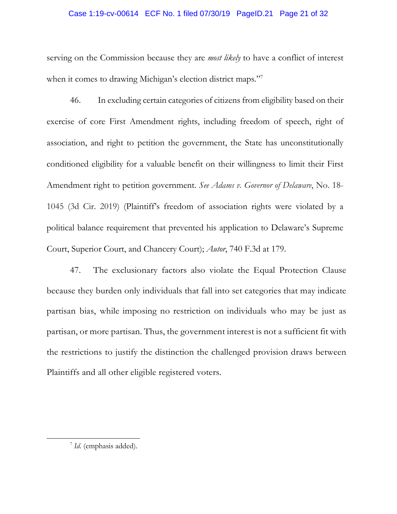### Case 1:19-cv-00614 ECF No. 1 filed 07/30/19 PageID.21 Page 21 of 32

serving on the Commission because they are *most likely* to have a conflict of interest when it comes to drawing Michigan's election district maps."<sup>7</sup>

46. In excluding certain categories of citizens from eligibility based on their exercise of core First Amendment rights, including freedom of speech, right of association, and right to petition the government, the State has unconstitutionally conditioned eligibility for a valuable benefit on their willingness to limit their First Amendment right to petition government. *See Adams v. Governor of Delaware*, No. 18- 1045 (3d Cir. 2019) (Plaintiff's freedom of association rights were violated by a political balance requirement that prevented his application to Delaware's Supreme Court, Superior Court, and Chancery Court); *Autor*, 740 F.3d at 179.

47. The exclusionary factors also violate the Equal Protection Clause because they burden only individuals that fall into set categories that may indicate partisan bias, while imposing no restriction on individuals who may be just as partisan, or more partisan. Thus, the government interest is not a sufficient fit with the restrictions to justify the distinction the challenged provision draws between Plaintiffs and all other eligible registered voters.

<sup>7</sup> *Id*. (emphasis added).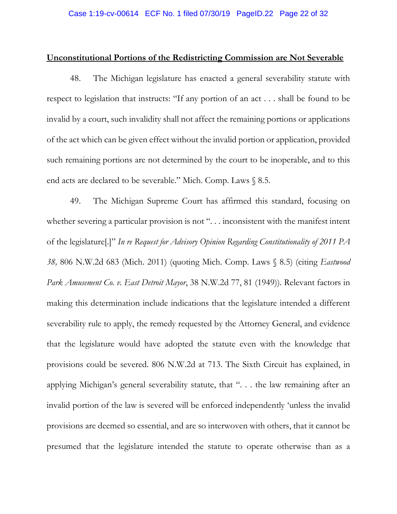### **Unconstitutional Portions of the Redistricting Commission are Not Severable**

48. The Michigan legislature has enacted a general severability statute with respect to legislation that instructs: "If any portion of an act . . . shall be found to be invalid by a court, such invalidity shall not affect the remaining portions or applications of the act which can be given effect without the invalid portion or application, provided such remaining portions are not determined by the court to be inoperable, and to this end acts are declared to be severable." Mich. Comp. Laws § 8.5.

49. The Michigan Supreme Court has affirmed this standard, focusing on whether severing a particular provision is not ". . . inconsistent with the manifest intent of the legislature[.]" *In re Request for Advisory Opinion Regarding Constitutionality of 2011 PA 38,* 806 N.W.2d 683 (Mich. 2011) (quoting Mich. Comp. Laws § 8.5) (citing *Eastwood Park Amusement Co. v. East Detroit Mayor*, 38 N.W.2d 77, 81 (1949)). Relevant factors in making this determination include indications that the legislature intended a different severability rule to apply, the remedy requested by the Attorney General, and evidence that the legislature would have adopted the statute even with the knowledge that provisions could be severed. 806 N.W.2d at 713. The Sixth Circuit has explained, in applying Michigan's general severability statute, that ". . . the law remaining after an invalid portion of the law is severed will be enforced independently 'unless the invalid provisions are deemed so essential, and are so interwoven with others, that it cannot be presumed that the legislature intended the statute to operate otherwise than as a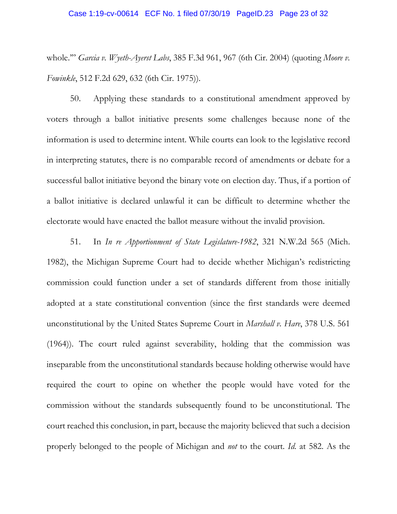### Case 1:19-cv-00614 ECF No. 1 filed 07/30/19 PageID.23 Page 23 of 32

whole.'" *Garcia v. Wyeth-Ayerst Labs*, 385 F.3d 961, 967 (6th Cir. 2004) (quoting *Moore v. Fowinkle*, 512 F.2d 629, 632 (6th Cir. 1975)).

50. Applying these standards to a constitutional amendment approved by voters through a ballot initiative presents some challenges because none of the information is used to determine intent. While courts can look to the legislative record in interpreting statutes, there is no comparable record of amendments or debate for a successful ballot initiative beyond the binary vote on election day. Thus, if a portion of a ballot initiative is declared unlawful it can be difficult to determine whether the electorate would have enacted the ballot measure without the invalid provision.

51. In *In re Apportionment of State Legislature-1982*, 321 N.W.2d 565 (Mich. 1982), the Michigan Supreme Court had to decide whether Michigan's redistricting commission could function under a set of standards different from those initially adopted at a state constitutional convention (since the first standards were deemed unconstitutional by the United States Supreme Court in *Marshall v. Hare*, 378 U.S. 561 (1964)). The court ruled against severability, holding that the commission was inseparable from the unconstitutional standards because holding otherwise would have required the court to opine on whether the people would have voted for the commission without the standards subsequently found to be unconstitutional. The court reached this conclusion, in part, because the majority believed that such a decision properly belonged to the people of Michigan and *not* to the court. *Id*. at 582. As the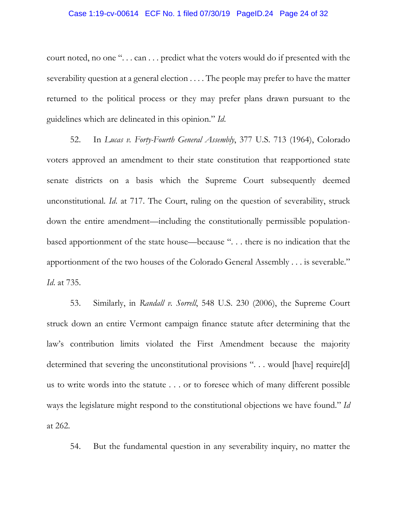### Case 1:19-cv-00614 ECF No. 1 filed 07/30/19 PageID.24 Page 24 of 32

court noted, no one ". . . can . . . predict what the voters would do if presented with the severability question at a general election . . . . The people may prefer to have the matter returned to the political process or they may prefer plans drawn pursuant to the guidelines which are delineated in this opinion." *Id*.

52. In *Lucas v. Forty-Fourth General Assembly*, 377 U.S. 713 (1964), Colorado voters approved an amendment to their state constitution that reapportioned state senate districts on a basis which the Supreme Court subsequently deemed unconstitutional. *Id*. at 717. The Court, ruling on the question of severability, struck down the entire amendment—including the constitutionally permissible populationbased apportionment of the state house—because ". . . there is no indication that the apportionment of the two houses of the Colorado General Assembly . . . is severable." *Id*. at 735.

53. Similarly, in *Randall v. Sorrell*, 548 U.S. 230 (2006), the Supreme Court struck down an entire Vermont campaign finance statute after determining that the law's contribution limits violated the First Amendment because the majority determined that severing the unconstitutional provisions "... would [have] require[d] us to write words into the statute . . . or to foresee which of many different possible ways the legislature might respond to the constitutional objections we have found." *Id* at 262.

54. But the fundamental question in any severability inquiry, no matter the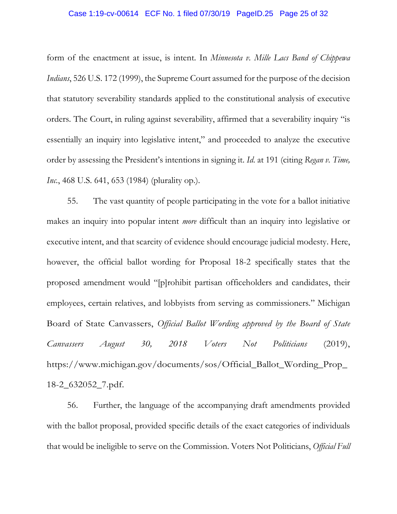### Case 1:19-cv-00614 ECF No. 1 filed 07/30/19 PageID.25 Page 25 of 32

form of the enactment at issue, is intent. In *Minnesota v. Mille Lacs Band of Chippewa Indians*, 526 U.S. 172 (1999), the Supreme Court assumed for the purpose of the decision that statutory severability standards applied to the constitutional analysis of executive orders. The Court, in ruling against severability, affirmed that a severability inquiry "is essentially an inquiry into legislative intent," and proceeded to analyze the executive order by assessing the President's intentions in signing it. *Id*. at 191 (citing *Regan v. Time, Inc.*, 468 U.S. 641, 653 (1984) (plurality op.).

55. The vast quantity of people participating in the vote for a ballot initiative makes an inquiry into popular intent *more* difficult than an inquiry into legislative or executive intent, and that scarcity of evidence should encourage judicial modesty. Here, however, the official ballot wording for Proposal 18-2 specifically states that the proposed amendment would "[p]rohibit partisan officeholders and candidates, their employees, certain relatives, and lobbyists from serving as commissioners." Michigan Board of State Canvassers, *Official Ballot Wording approved by the Board of State Canvassers August 30, 2018 Voters Not Politicians* (2019), https://www.michigan.gov/documents/sos/Official\_Ballot\_Wording\_Prop\_ 18-2\_632052\_7.pdf.

56. Further, the language of the accompanying draft amendments provided with the ballot proposal, provided specific details of the exact categories of individuals that would be ineligible to serve on the Commission. Voters Not Politicians, *Official Full*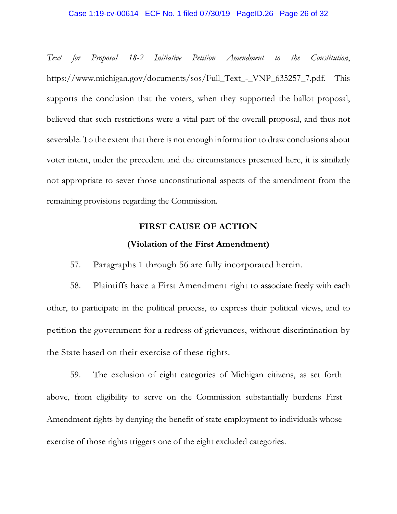### Case 1:19-cv-00614 ECF No. 1 filed 07/30/19 PageID.26 Page 26 of 32

*Text for Proposal 18-2 Initiative Petition Amendment to the Constitution*, https://www.michigan.gov/documents/sos/Full\_Text\_-\_VNP\_635257\_7.pdf. This supports the conclusion that the voters, when they supported the ballot proposal, believed that such restrictions were a vital part of the overall proposal, and thus not severable. To the extent that there is not enough information to draw conclusions about voter intent, under the precedent and the circumstances presented here, it is similarly not appropriate to sever those unconstitutional aspects of the amendment from the remaining provisions regarding the Commission.

# **FIRST CAUSE OF ACTION (Violation of the First Amendment)**

57. Paragraphs 1 through 56 are fully incorporated herein.

58. Plaintiffs have a First Amendment right to associate freely with each other, to participate in the political process, to express their political views, and to petition the government for a redress of grievances, without discrimination by the State based on their exercise of these rights.

59. The exclusion of eight categories of Michigan citizens, as set forth above, from eligibility to serve on the Commission substantially burdens First Amendment rights by denying the benefit of state employment to individuals whose exercise of those rights triggers one of the eight excluded categories.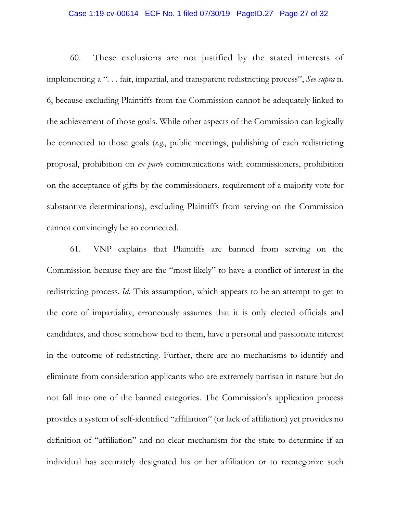### Case 1:19-cv-00614 ECF No. 1 filed 07/30/19 PageID.27 Page 27 of 32

60. These exclusions are not justified by the stated interests of implementing a ". . . fair, impartial, and transparent redistricting process", *See supra* n. 6, because excluding Plaintiffs from the Commission cannot be adequately linked to the achievement of those goals. While other aspects of the Commission can logically be connected to those goals (*e.g*., public meetings, publishing of each redistricting proposal, prohibition on *ex parte* communications with commissioners, prohibition on the acceptance of gifts by the commissioners, requirement of a majority vote for substantive determinations), excluding Plaintiffs from serving on the Commission cannot convincingly be so connected.

61. VNP explains that Plaintiffs are banned from serving on the Commission because they are the "most likely" to have a conflict of interest in the redistricting process. *Id*. This assumption, which appears to be an attempt to get to the core of impartiality, erroneously assumes that it is only elected officials and candidates, and those somehow tied to them, have a personal and passionate interest in the outcome of redistricting. Further, there are no mechanisms to identify and eliminate from consideration applicants who are extremely partisan in nature but do not fall into one of the banned categories. The Commission's application process provides a system of self-identified "affiliation" (or lack of affiliation) yet provides no definition of "affiliation" and no clear mechanism for the state to determine if an individual has accurately designated his or her affiliation or to recategorize such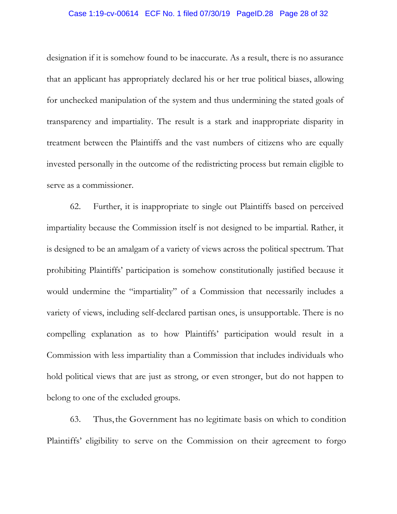### Case 1:19-cv-00614 ECF No. 1 filed 07/30/19 PageID.28 Page 28 of 32

designation if it is somehow found to be inaccurate. As a result, there is no assurance that an applicant has appropriately declared his or her true political biases, allowing for unchecked manipulation of the system and thus undermining the stated goals of transparency and impartiality. The result is a stark and inappropriate disparity in treatment between the Plaintiffs and the vast numbers of citizens who are equally invested personally in the outcome of the redistricting process but remain eligible to serve as a commissioner.

62. Further, it is inappropriate to single out Plaintiffs based on perceived impartiality because the Commission itself is not designed to be impartial. Rather, it is designed to be an amalgam of a variety of views across the political spectrum. That prohibiting Plaintiffs' participation is somehow constitutionally justified because it would undermine the "impartiality" of a Commission that necessarily includes a variety of views, including self-declared partisan ones, is unsupportable. There is no compelling explanation as to how Plaintiffs' participation would result in a Commission with less impartiality than a Commission that includes individuals who hold political views that are just as strong, or even stronger, but do not happen to belong to one of the excluded groups.

63. Thus, the Government has no legitimate basis on which to condition Plaintiffs' eligibility to serve on the Commission on their agreement to forgo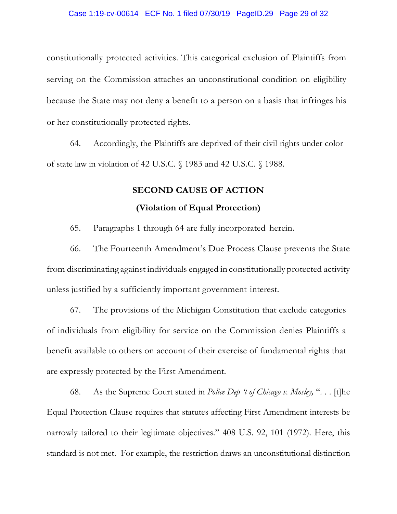constitutionally protected activities. This categorical exclusion of Plaintiffs from serving on the Commission attaches an unconstitutional condition on eligibility because the State may not deny a benefit to a person on a basis that infringes his or her constitutionally protected rights.

64. Accordingly, the Plaintiffs are deprived of their civil rights under color of state law in violation of 42 U.S.C. § 1983 and 42 U.S.C. § 1988.

# **SECOND CAUSE OF ACTION (Violation of Equal Protection)**

65. Paragraphs 1 through 64 are fully incorporated herein.

66. The Fourteenth Amendment's Due Process Clause prevents the State from discriminating against individuals engaged in constitutionally protected activity unless justified by a sufficiently important government interest.

67. The provisions of the Michigan Constitution that exclude categories of individuals from eligibility for service on the Commission denies Plaintiffs a benefit available to others on account of their exercise of fundamental rights that are expressly protected by the First Amendment.

68. As the Supreme Court stated in *Police Dep 't of Chicago v. Mosley,* ". . . [t]he Equal Protection Clause requires that statutes affecting First Amendment interests be narrowly tailored to their legitimate objectives." 408 U.S. 92, 101 (1972). Here, this standard is not met. For example, the restriction draws an unconstitutional distinction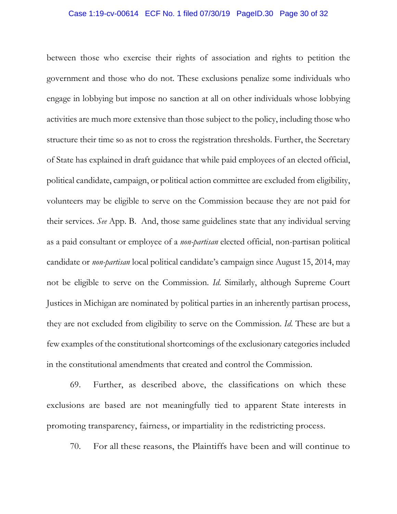### Case 1:19-cv-00614 ECF No. 1 filed 07/30/19 PageID.30 Page 30 of 32

between those who exercise their rights of association and rights to petition the government and those who do not. These exclusions penalize some individuals who engage in lobbying but impose no sanction at all on other individuals whose lobbying activities are much more extensive than those subject to the policy, including those who structure their time so as not to cross the registration thresholds. Further, the Secretary of State has explained in draft guidance that while paid employees of an elected official, political candidate, campaign, or political action committee are excluded from eligibility, volunteers may be eligible to serve on the Commission because they are not paid for their services. *See* App. B. And, those same guidelines state that any individual serving as a paid consultant or employee of a *non-partisan* elected official, non-partisan political candidate or *non-partisan* local political candidate's campaign since August 15, 2014, may not be eligible to serve on the Commission. *Id*. Similarly, although Supreme Court Justices in Michigan are nominated by political parties in an inherently partisan process, they are not excluded from eligibility to serve on the Commission. *Id*. These are but a few examples of the constitutional shortcomings of the exclusionary categories included in the constitutional amendments that created and control the Commission.

69. Further, as described above, the classifications on which these exclusions are based are not meaningfully tied to apparent State interests in promoting transparency, fairness, or impartiality in the redistricting process.

70. For all these reasons, the Plaintiffs have been and will continue to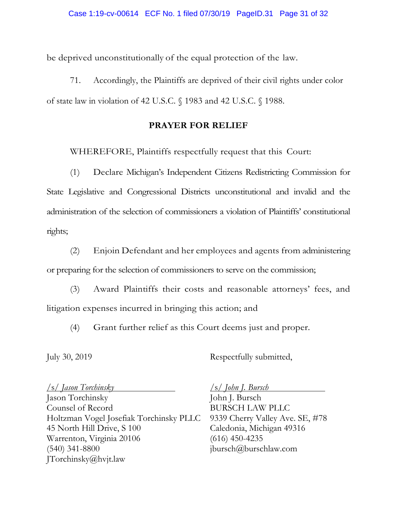be deprived unconstitutionally of the equal protection of the law.

71. Accordingly, the Plaintiffs are deprived of their civil rights under color of state law in violation of 42 U.S.C. § 1983 and 42 U.S.C. § 1988.

# **PRAYER FOR RELIEF**

WHEREFORE, Plaintiffs respectfully request that this Court:

(1) Declare Michigan's Independent Citizens Redistricting Commission for State Legislative and Congressional Districts unconstitutional and invalid and the administration of the selection of commissioners a violation of Plaintiffs' constitutional rights;

(2) Enjoin Defendant and her employees and agents from administering or preparing for the selection of commissioners to serve on the commission;

(3) Award Plaintiffs their costs and reasonable attorneys' fees, and litigation expenses incurred in bringing this action; and

(4) Grant further relief as this Court deems just and proper.

July 30, 2019 Respectfully submitted,

/s/ *Jason Torchinsky* /s/ *John J. Bursch* 

Jason Torchinsky John J. Bursch Counsel of Record BURSCH LAW PLLC Holtzman Vogel Josefiak Torchinsky PLLC 9339 Cherry Valley Ave. SE, #78 45 North Hill Drive, S 100 Caledonia, Michigan 49316 Warrenton, Virginia 20106 (616) 450-4235  $(540)$  341-8800 jbursch $\omega$ jbursch $\omega$ burschlaw.com JTorchinsky@hvjt.law